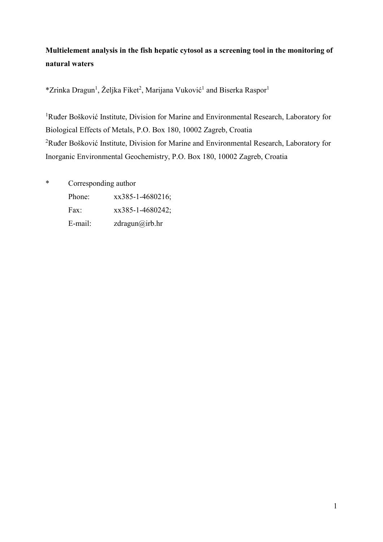# **Multielement analysis in the fish hepatic cytosol as a screening tool in the monitoring of natural waters**

\*Zrinka Dragun<sup>1</sup>, Željka Fiket<sup>2</sup>, Marijana Vuković<sup>1</sup> and Biserka Raspor<sup>1</sup>

<sup>1</sup>Ruđer Bošković Institute, Division for Marine and Environmental Research, Laboratory for Biological Effects of Metals, P.O. Box 180, 10002 Zagreb, Croatia <sup>2</sup>Ruđer Bošković Institute, Division for Marine and Environmental Research, Laboratory for Inorganic Environmental Geochemistry, P.O. Box 180, 10002 Zagreb, Croatia

- \* Corresponding author
	- Phone: xx385-1-4680216;
	- Fax: xx385-1-4680242;
	- E-mail: zdragun@irb.hr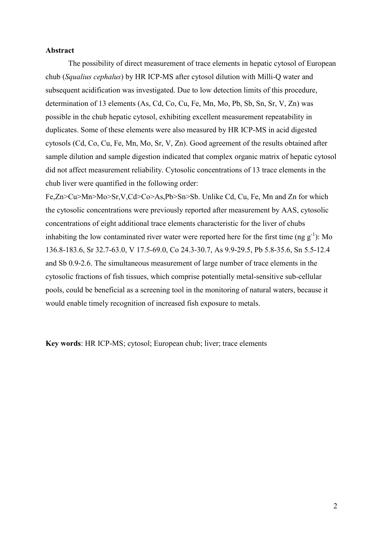### **Abstract**

The possibility of direct measurement of trace elements in hepatic cytosol of European chub (*Squalius cephalus*) by HR ICP-MS after cytosol dilution with Milli-Q water and subsequent acidification was investigated. Due to low detection limits of this procedure, determination of 13 elements (As, Cd, Co, Cu, Fe, Mn, Mo, Pb, Sb, Sn, Sr, V, Zn) was possible in the chub hepatic cytosol, exhibiting excellent measurement repeatability in duplicates. Some of these elements were also measured by HR ICP-MS in acid digested cytosols (Cd, Co, Cu, Fe, Mn, Mo, Sr, V, Zn). Good agreement of the results obtained after sample dilution and sample digestion indicated that complex organic matrix of hepatic cytosol did not affect measurement reliability. Cytosolic concentrations of 13 trace elements in the chub liver were quantified in the following order:

Fe,Zn>Cu>Mn>Mo>Sr,V,Cd>Co>As,Pb>Sn>Sb. Unlike Cd, Cu, Fe, Mn and Zn for which the cytosolic concentrations were previously reported after measurement by AAS, cytosolic concentrations of eight additional trace elements characteristic for the liver of chubs inhabiting the low contaminated river water were reported here for the first time (ng  $g^{-1}$ ): Mo 136.8-183.6, Sr 32.7-63.0, V 17.5-69.0, Co 24.3-30.7, As 9.9-29.5, Pb 5.8-35.6, Sn 5.5-12.4 and Sb 0.9-2.6. The simultaneous measurement of large number of trace elements in the cytosolic fractions of fish tissues, which comprise potentially metal-sensitive sub-cellular pools, could be beneficial as a screening tool in the monitoring of natural waters, because it would enable timely recognition of increased fish exposure to metals.

**Key words**: HR ICP-MS; cytosol; European chub; liver; trace elements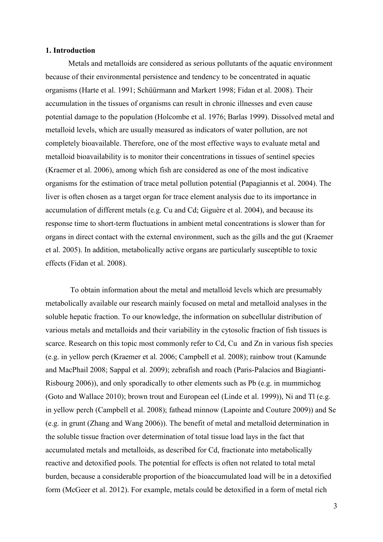### **1. Introduction**

Metals and metalloids are considered as serious pollutants of the aquatic environment because of their environmental persistence and tendency to be concentrated in aquatic organisms (Harte et al. 1991; Schüürmann and Markert 1998; Fidan et al. 2008). Their accumulation in the tissues of organisms can result in chronic illnesses and even cause potential damage to the population (Holcombe et al. 1976; Barlas 1999). Dissolved metal and metalloid levels, which are usually measured as indicators of water pollution, are not completely bioavailable. Therefore, one of the most effective ways to evaluate metal and metalloid bioavailability is to monitor their concentrations in tissues of sentinel species (Kraemer et al. 2006), among which fish are considered as one of the most indicative organisms for the estimation of trace metal pollution potential (Papagiannis et al. 2004). The liver is often chosen as a target organ for trace element analysis due to its importance in accumulation of different metals (e.g. Cu and Cd; Giguère et al. 2004), and because its response time to short-term fluctuations in ambient metal concentrations is slower than for organs in direct contact with the external environment, such as the gills and the gut (Kraemer et al. 2005). In addition, metabolically active organs are particularly susceptible to toxic effects (Fidan et al. 2008).

To obtain information about the metal and metalloid levels which are presumably metabolically available our research mainly focused on metal and metalloid analyses in the soluble hepatic fraction. To our knowledge, the information on subcellular distribution of various metals and metalloids and their variability in the cytosolic fraction of fish tissues is scarce. Research on this topic most commonly refer to Cd, Cu and Zn in various fish species (e.g. in yellow perch (Kraemer et al. 2006; Campbell et al. 2008); rainbow trout (Kamunde and MacPhail 2008; Sappal et al. 2009); zebrafish and roach (Paris-Palacios and Biagianti-Risbourg 2006)), and only sporadically to other elements such as Pb (e.g. in mummichog (Goto and Wallace 2010); brown trout and European eel (Linde et al. 1999)), Ni and Tl (e.g. in yellow perch (Campbell et al. 2008); fathead minnow (Lapointe and Couture 2009)) and Se (e.g. in grunt (Zhang and Wang 2006)). The benefit of metal and metalloid determination in the soluble tissue fraction over determination of total tissue load lays in the fact that accumulated metals and metalloids, as described for Cd, fractionate into metabolically reactive and detoxified pools. The potential for effects is often not related to total metal burden, because a considerable proportion of the bioaccumulated load will be in a detoxified form (McGeer et al. 2012). For example, metals could be detoxified in a form of metal rich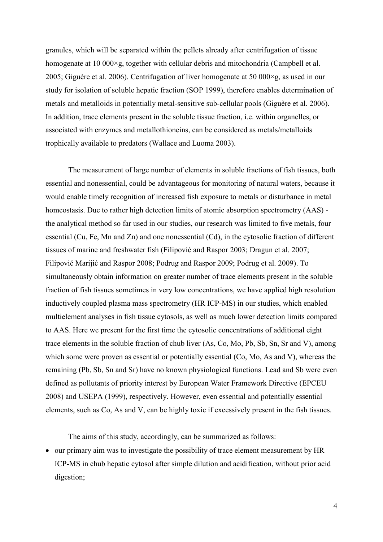granules, which will be separated within the pellets already after centrifugation of tissue homogenate at 10 000×g, together with cellular debris and mitochondria (Campbell et al. 2005; Giguère et al. 2006). Centrifugation of liver homogenate at 50 000×g, as used in our study for isolation of soluble hepatic fraction (SOP 1999), therefore enables determination of metals and metalloids in potentially metal-sensitive sub-cellular pools (Giguère et al. 2006). In addition, trace elements present in the soluble tissue fraction, i.e. within organelles, or associated with enzymes and metallothioneins, can be considered as metals/metalloids trophically available to predators (Wallace and Luoma 2003).

The measurement of large number of elements in soluble fractions of fish tissues, both essential and nonessential, could be advantageous for monitoring of natural waters, because it would enable timely recognition of increased fish exposure to metals or disturbance in metal homeostasis. Due to rather high detection limits of atomic absorption spectrometry (AAS) the analytical method so far used in our studies, our research was limited to five metals, four essential (Cu, Fe, Mn and Zn) and one nonessential (Cd), in the cytosolic fraction of different tissues of marine and freshwater fish (Filipović and Raspor 2003; Dragun et al. 2007; Filipović Marijić and Raspor 2008; Podrug and Raspor 2009; Podrug et al. 2009). To simultaneously obtain information on greater number of trace elements present in the soluble fraction of fish tissues sometimes in very low concentrations, we have applied high resolution inductively coupled plasma mass spectrometry (HR ICP-MS) in our studies, which enabled multielement analyses in fish tissue cytosols, as well as much lower detection limits compared to AAS. Here we present for the first time the cytosolic concentrations of additional eight trace elements in the soluble fraction of chub liver (As, Co, Mo, Pb, Sb, Sn, Sr and V), among which some were proven as essential or potentially essential (Co, Mo, As and V), whereas the remaining (Pb, Sb, Sn and Sr) have no known physiological functions. Lead and Sb were even defined as pollutants of priority interest by European Water Framework Directive (EPCEU 2008) and USEPA (1999), respectively. However, even essential and potentially essential elements, such as Co, As and V, can be highly toxic if excessively present in the fish tissues.

The aims of this study, accordingly, can be summarized as follows:

 our primary aim was to investigate the possibility of trace element measurement by HR ICP-MS in chub hepatic cytosol after simple dilution and acidification, without prior acid digestion;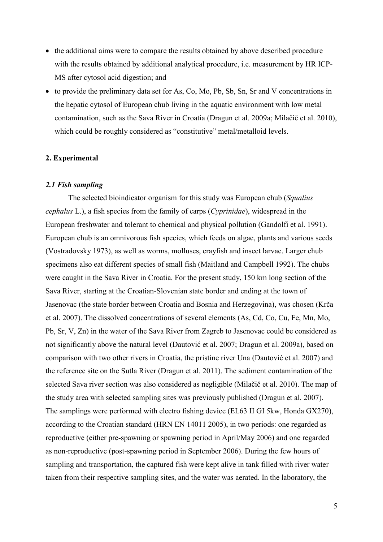- the additional aims were to compare the results obtained by above described procedure with the results obtained by additional analytical procedure, i.e. measurement by HR ICP-MS after cytosol acid digestion; and
- to provide the preliminary data set for As, Co, Mo, Pb, Sb, Sn, Sr and V concentrations in the hepatic cytosol of European chub living in the aquatic environment with low metal contamination, such as the Sava River in Croatia (Dragun et al. 2009a; Milačič et al. 2010), which could be roughly considered as "constitutive" metal/metalloid levels.

## **2. Experimental**

#### *2.1 Fish sampling*

The selected bioindicator organism for this study was European chub (*Squalius cephalus* L.), a fish species from the family of carps (*Cyprinidae*), widespread in the European freshwater and tolerant to chemical and physical pollution (Gandolfi et al. 1991). European chub is an omnivorous fish species, which feeds on algae, plants and various seeds (Vostradovsky 1973), as well as worms, molluscs, crayfish and insect larvae. Larger chub specimens also eat different species of small fish (Maitland and Campbell 1992). The chubs were caught in the Sava River in Croatia. For the present study, 150 km long section of the Sava River, starting at the Croatian-Slovenian state border and ending at the town of Jasenovac (the state border between Croatia and Bosnia and Herzegovina), was chosen (Krča et al. 2007). The dissolved concentrations of several elements (As, Cd, Co, Cu, Fe, Mn, Mo, Pb, Sr, V, Zn) in the water of the Sava River from Zagreb to Jasenovac could be considered as not significantly above the natural level (Dautović et al. 2007; Dragun et al. 2009a), based on comparison with two other rivers in Croatia, the pristine river Una (Dautović et al. 2007) and the reference site on the Sutla River (Dragun et al. 2011). The sediment contamination of the selected Sava river section was also considered as negligible (Milačič et al. 2010). The map of the study area with selected sampling sites was previously published (Dragun et al. 2007). The samplings were performed with electro fishing device (EL63 II GI 5kw, Honda GX270), according to the Croatian standard (HRN EN 14011 2005), in two periods: one regarded as reproductive (either pre-spawning or spawning period in April/May 2006) and one regarded as non-reproductive (post-spawning period in September 2006). During the few hours of sampling and transportation, the captured fish were kept alive in tank filled with river water taken from their respective sampling sites, and the water was aerated. In the laboratory, the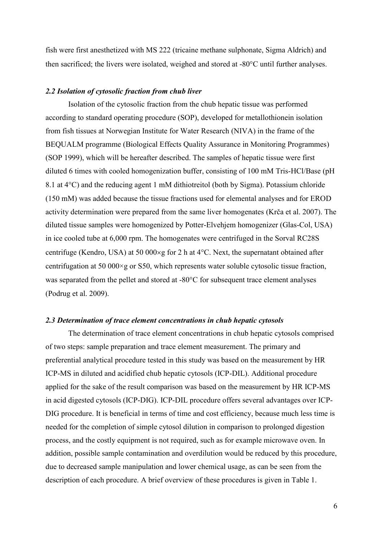fish were first anesthetized with MS 222 (tricaine methane sulphonate, Sigma Aldrich) and then sacrificed; the livers were isolated, weighed and stored at  $-80^{\circ}$ C until further analyses.

## *2.2 Isolation of cytosolic fraction from chub liver*

Isolation of the cytosolic fraction from the chub hepatic tissue was performed according to standard operating procedure (SOP), developed for metallothionein isolation from fish tissues at Norwegian Institute for Water Research (NIVA) in the frame of the BEQUALM programme (Biological Effects Quality Assurance in Monitoring Programmes) (SOP 1999), which will be hereafter described. The samples of hepatic tissue were first diluted 6 times with cooled homogenization buffer, consisting of 100 mM Tris-HCl/Base (pH 8.1 at  $4^{\circ}$ C) and the reducing agent 1 mM dithiotreitol (both by Sigma). Potassium chloride (150 mM) was added because the tissue fractions used for elemental analyses and for EROD activity determination were prepared from the same liver homogenates (Krča et al. 2007). The diluted tissue samples were homogenized by Potter-Elvehjem homogenizer (Glas-Col, USA) in ice cooled tube at 6,000 rpm. The homogenates were centrifuged in the Sorval RC28S centrifuge (Kendro, USA) at 50 000 $\times$ g for 2 h at 4 $\degree$ C. Next, the supernatant obtained after centrifugation at 50 000×g or S50, which represents water soluble cytosolic tissue fraction, was separated from the pellet and stored at  $-80^{\circ}$ C for subsequent trace element analyses (Podrug et al. 2009).

## *2.3 Determination of trace element concentrations in chub hepatic cytosols*

The determination of trace element concentrations in chub hepatic cytosols comprised of two steps: sample preparation and trace element measurement. The primary and preferential analytical procedure tested in this study was based on the measurement by HR ICP-MS in diluted and acidified chub hepatic cytosols (ICP-DIL). Additional procedure applied for the sake of the result comparison was based on the measurement by HR ICP-MS in acid digested cytosols (ICP-DIG). ICP-DIL procedure offers several advantages over ICP-DIG procedure. It is beneficial in terms of time and cost efficiency, because much less time is needed for the completion of simple cytosol dilution in comparison to prolonged digestion process, and the costly equipment is not required, such as for example microwave oven. In addition, possible sample contamination and overdilution would be reduced by this procedure, due to decreased sample manipulation and lower chemical usage, as can be seen from the description of each procedure. A brief overview of these procedures is given in Table 1.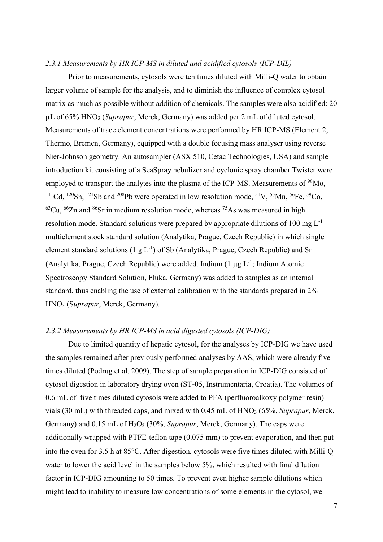# *2.3.1 Measurements by HR ICP-MS in diluted and acidified cytosols (ICP-DIL)*

Prior to measurements, cytosols were ten times diluted with Milli-Q water to obtain larger volume of sample for the analysis, and to diminish the influence of complex cytosol matrix as much as possible without addition of chemicals. The samples were also acidified: 20 µL of 65% HNO<sup>3</sup> (*Suprapur*, Merck, Germany) was added per 2 mL of diluted cytosol. Measurements of trace element concentrations were performed by HR ICP-MS (Element 2, Thermo, Bremen, Germany), equipped with a double focusing mass analyser using reverse Nier-Johnson geometry. An autosampler (ASX 510, Cetac Technologies, USA) and sample introduction kit consisting of a SeaSpray nebulizer and cyclonic spray chamber Twister were employed to transport the analytes into the plasma of the ICP-MS. Measurements of <sup>98</sup>Mo, <sup>111</sup>Cd, <sup>120</sup>Sn, <sup>121</sup>Sb and <sup>208</sup>Pb were operated in low resolution mode, <sup>51</sup>V, <sup>55</sup>Mn, <sup>56</sup>Fe, <sup>59</sup>Co,  $^{63}$ Cu,  $^{66}$ Zn and  $^{86}$ Sr in medium resolution mode, whereas  $^{75}$ As was measured in high resolution mode. Standard solutions were prepared by appropriate dilutions of 100 mg  $L^{-1}$ multielement stock standard solution (Analytika, Prague, Czech Republic) in which single element standard solutions  $(1 g L^{-1})$  of Sb (Analytika, Prague, Czech Republic) and Sn (Analytika, Prague, Czech Republic) were added. Indium  $(1 \mu g L^{-1})$ ; Indium Atomic Spectroscopy Standard Solution, Fluka, Germany) was added to samples as an internal standard, thus enabling the use of external calibration with the standards prepared in 2% HNO<sup>3</sup> (S*uprapur*, Merck, Germany).

## *2.3.2 Measurements by HR ICP-MS in acid digested cytosols (ICP-DIG)*

Due to limited quantity of hepatic cytosol, for the analyses by ICP-DIG we have used the samples remained after previously performed analyses by AAS, which were already five times diluted (Podrug et al. 2009). The step of sample preparation in ICP-DIG consisted of cytosol digestion in laboratory drying oven (ST-05, Instrumentaria, Croatia). The volumes of 0.6 mL of five times diluted cytosols were added to PFA (perfluoroalkoxy polymer resin) vials (30 mL) with threaded caps, and mixed with 0.45 mL of HNO<sup>3</sup> (65%, *Suprapur*, Merck, Germany) and 0.15 mL of H<sub>2</sub>O<sub>2</sub> (30%, *Suprapur*, Merck, Germany). The caps were additionally wrapped with PTFE-teflon tape (0.075 mm) to prevent evaporation, and then put into the oven for 3.5 h at  $85^{\circ}$ C. After digestion, cytosols were five times diluted with Milli-Q water to lower the acid level in the samples below 5%, which resulted with final dilution factor in ICP-DIG amounting to 50 times. To prevent even higher sample dilutions which might lead to inability to measure low concentrations of some elements in the cytosol, we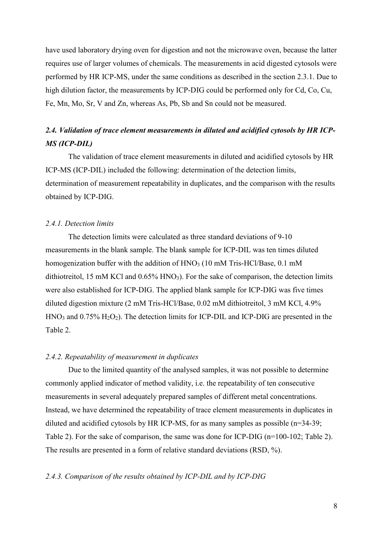have used laboratory drying oven for digestion and not the microwave oven, because the latter requires use of larger volumes of chemicals. The measurements in acid digested cytosols were performed by HR ICP-MS, under the same conditions as described in the section 2.3.1. Due to high dilution factor, the measurements by ICP-DIG could be performed only for Cd, Co, Cu, Fe, Mn, Mo, Sr, V and Zn, whereas As, Pb, Sb and Sn could not be measured.

# *2.4. Validation of trace element measurements in diluted and acidified cytosols by HR ICP-MS (ICP-DIL)*

The validation of trace element measurements in diluted and acidified cytosols by HR ICP-MS (ICP-DIL) included the following: determination of the detection limits, determination of measurement repeatability in duplicates, and the comparison with the results obtained by ICP-DIG.

### *2.4.1. Detection limits*

The detection limits were calculated as three standard deviations of 9-10 measurements in the blank sample. The blank sample for ICP-DIL was ten times diluted homogenization buffer with the addition of HNO<sub>3</sub> (10 mM Tris-HCl/Base, 0.1 mM dithiotreitol, 15 mM KCl and 0.65% HNO<sub>3</sub>). For the sake of comparison, the detection limits were also established for ICP-DIG. The applied blank sample for ICP-DIG was five times diluted digestion mixture (2 mM Tris-HCl/Base, 0.02 mM dithiotreitol, 3 mM KCl, 4.9%  $HNO<sub>3</sub>$  and  $0.75\%$   $H<sub>2</sub>O<sub>2</sub>$ ). The detection limits for ICP-DIL and ICP-DIG are presented in the Table 2.

# *2.4.2. Repeatability of measurement in duplicates*

Due to the limited quantity of the analysed samples, it was not possible to determine commonly applied indicator of method validity, i.e. the repeatability of ten consecutive measurements in several adequately prepared samples of different metal concentrations. Instead, we have determined the repeatability of trace element measurements in duplicates in diluted and acidified cytosols by HR ICP-MS, for as many samples as possible (n=34-39; Table 2). For the sake of comparison, the same was done for ICP-DIG (n=100-102; Table 2). The results are presented in a form of relative standard deviations (RSD, %).

#### *2.4.3. Comparison of the results obtained by ICP-DIL and by ICP-DIG*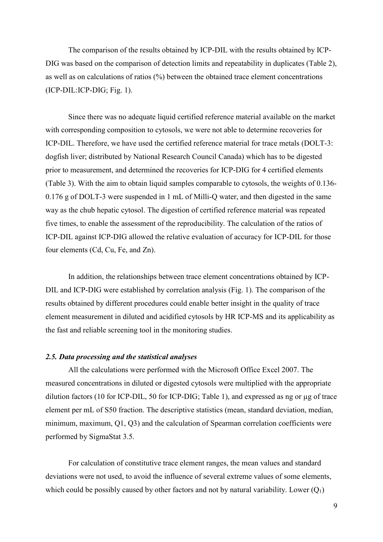The comparison of the results obtained by ICP-DIL with the results obtained by ICP-DIG was based on the comparison of detection limits and repeatability in duplicates (Table 2), as well as on calculations of ratios (%) between the obtained trace element concentrations (ICP-DIL:ICP-DIG; Fig. 1).

Since there was no adequate liquid certified reference material available on the market with corresponding composition to cytosols, we were not able to determine recoveries for ICP-DIL. Therefore, we have used the certified reference material for trace metals (DOLT-3: dogfish liver; distributed by National Research Council Canada) which has to be digested prior to measurement, and determined the recoveries for ICP-DIG for 4 certified elements (Table 3). With the aim to obtain liquid samples comparable to cytosols, the weights of 0.136- 0.176 g of DOLT-3 were suspended in 1 mL of Milli-Q water, and then digested in the same way as the chub hepatic cytosol. The digestion of certified reference material was repeated five times, to enable the assessment of the reproducibility. The calculation of the ratios of ICP-DIL against ICP-DIG allowed the relative evaluation of accuracy for ICP-DIL for those four elements (Cd, Cu, Fe, and Zn).

In addition, the relationships between trace element concentrations obtained by ICP-DIL and ICP-DIG were established by correlation analysis (Fig. 1). The comparison of the results obtained by different procedures could enable better insight in the quality of trace element measurement in diluted and acidified cytosols by HR ICP-MS and its applicability as the fast and reliable screening tool in the monitoring studies.

# *2.5. Data processing and the statistical analyses*

All the calculations were performed with the Microsoft Office Excel 2007. The measured concentrations in diluted or digested cytosols were multiplied with the appropriate dilution factors (10 for ICP-DIL, 50 for ICP-DIG; Table 1), and expressed as ng or µg of trace element per mL of S50 fraction. The descriptive statistics (mean, standard deviation, median, minimum, maximum, Q1, Q3) and the calculation of Spearman correlation coefficients were performed by SigmaStat 3.5.

For calculation of constitutive trace element ranges, the mean values and standard deviations were not used, to avoid the influence of several extreme values of some elements, which could be possibly caused by other factors and not by natural variability. Lower  $(Q_1)$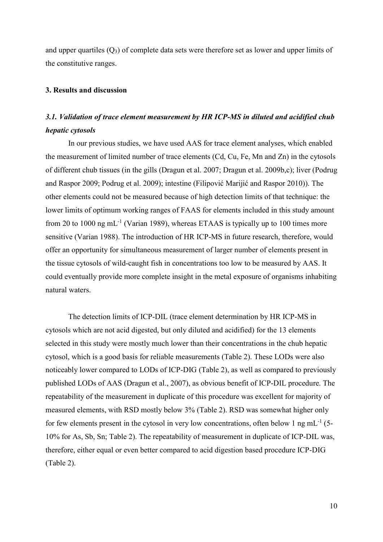and upper quartiles  $(Q_3)$  of complete data sets were therefore set as lower and upper limits of the constitutive ranges.

### **3. Results and discussion**

# *3.1. Validation of trace element measurement by HR ICP-MS in diluted and acidified chub hepatic cytosols*

In our previous studies, we have used AAS for trace element analyses, which enabled the measurement of limited number of trace elements (Cd, Cu, Fe, Mn and Zn) in the cytosols of different chub tissues (in the gills (Dragun et al. 2007; Dragun et al. 2009b,c); liver (Podrug and Raspor 2009; Podrug et al. 2009); intestine (Filipović Marijić and Raspor 2010)). The other elements could not be measured because of high detection limits of that technique: the lower limits of optimum working ranges of FAAS for elements included in this study amount from 20 to 1000 ng mL<sup>-1</sup> (Varian 1989), whereas ETAAS is typically up to 100 times more sensitive (Varian 1988). The introduction of HR ICP-MS in future research, therefore, would offer an opportunity for simultaneous measurement of larger number of elements present in the tissue cytosols of wild-caught fish in concentrations too low to be measured by AAS. It could eventually provide more complete insight in the metal exposure of organisms inhabiting natural waters.

The detection limits of ICP-DIL (trace element determination by HR ICP-MS in cytosols which are not acid digested, but only diluted and acidified) for the 13 elements selected in this study were mostly much lower than their concentrations in the chub hepatic cytosol, which is a good basis for reliable measurements (Table 2). These LODs were also noticeably lower compared to LODs of ICP-DIG (Table 2), as well as compared to previously published LODs of AAS (Dragun et al., 2007), as obvious benefit of ICP-DIL procedure. The repeatability of the measurement in duplicate of this procedure was excellent for majority of measured elements, with RSD mostly below 3% (Table 2). RSD was somewhat higher only for few elements present in the cytosol in very low concentrations, often below 1 ng mL $^{-1}$  (5-10% for As, Sb, Sn; Table 2). The repeatability of measurement in duplicate of ICP-DIL was, therefore, either equal or even better compared to acid digestion based procedure ICP-DIG (Table 2).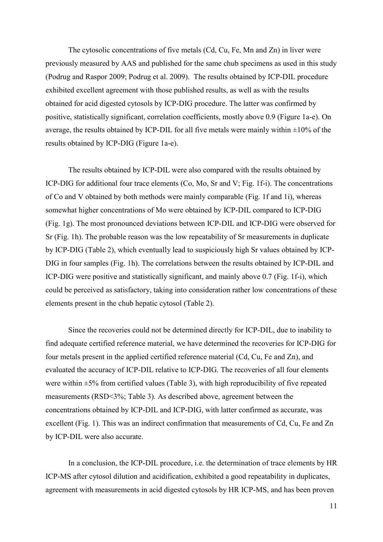The cytosolic concentrations of five metals (Cd, Cu, Fe, Mn and Zn) in liver were previously measured by AAS and published for the same chub specimens as used in this study (Podrug and Raspor 2009; Podrug et al. 2009). The results obtained by ICP-DIL procedure exhibited excellent agreement with those published results, as well as with the results obtained for acid digested cytosols by ICP-DIG procedure. The latter was confirmed by positive, statistically significant, correlation coefficients, mostly above 0.9 (Figure 1a-e). On average, the results obtained by ICP-DIL for all five metals were mainly within  $\pm 10\%$  of the results obtained by ICP-DIG (Figure 1a-e).

The results obtained by ICP-DIL were also compared with the results obtained by ICP-DIG for additional four trace elements (Co, Mo, Sr and V; Fig. 1f-i). The concentrations of Co and V obtained by both methods were mainly comparable (Fig. 1f and 1i), whereas somewhat higher concentrations of Mo were obtained by ICP-DIL compared to ICP-DIG (Fig. 1g). The most pronounced deviations between ICP-DIL and ICP-DIG were observed for Sr (Fig. 1h). The probable reason was the low repeatability of Sr measurements in duplicate by ICP-DIG (Table 2), which eventually lead to suspiciously high Sr values obtained by ICP-DIG in four samples (Fig. 1h). The correlations between the results obtained by ICP-DIL and ICP-DIG were positive and statistically significant, and mainly above 0.7 (Fig. 1f-i), which could be perceived as satisfactory, taking into consideration rather low concentrations of these elements present in the chub hepatic cytosol (Table 2).

Since the recoveries could not be determined directly for ICP-DIL, due to inability to find adequate certified reference material, we have determined the recoveries for ICP-DIG for four metals present in the applied certified reference material (Cd, Cu, Fe and Zn), and evaluated the accuracy of ICP-DIL relative to ICP-DIG. The recoveries of all four elements were within  $\pm$ 5% from certified values (Table 3), with high reproducibility of five repeated measurements (RSD<3%; Table 3). As described above, agreement between the concentrations obtained by ICP-DIL and ICP-DIG, with latter confirmed as accurate, was excellent (Fig. 1). This was an indirect confirmation that measurements of Cd, Cu, Fe and Zn by ICP-DIL were also accurate.

In a conclusion, the ICP-DIL procedure, i.e. the determination of trace elements by HR ICP-MS after cytosol dilution and acidification, exhibited a good repeatability in duplicates, agreement with measurements in acid digested cytosols by HR ICP-MS, and has been proven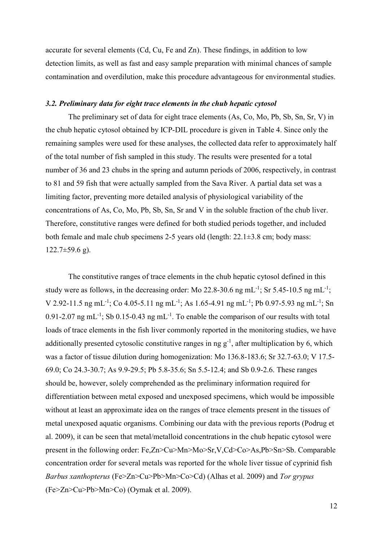accurate for several elements (Cd, Cu, Fe and Zn). These findings, in addition to low detection limits, as well as fast and easy sample preparation with minimal chances of sample contamination and overdilution, make this procedure advantageous for environmental studies.

# *3.2. Preliminary data for eight trace elements in the chub hepatic cytosol*

The preliminary set of data for eight trace elements (As, Co, Mo, Pb, Sb, Sn, Sr, V) in the chub hepatic cytosol obtained by ICP-DIL procedure is given in Table 4. Since only the remaining samples were used for these analyses, the collected data refer to approximately half of the total number of fish sampled in this study. The results were presented for a total number of 36 and 23 chubs in the spring and autumn periods of 2006, respectively, in contrast to 81 and 59 fish that were actually sampled from the Sava River. A partial data set was a limiting factor, preventing more detailed analysis of physiological variability of the concentrations of As, Co, Mo, Pb, Sb, Sn, Sr and V in the soluble fraction of the chub liver. Therefore, constitutive ranges were defined for both studied periods together, and included both female and male chub specimens 2-5 years old (length: 22.1±3.8 cm; body mass:  $122.7\pm59.6$  g).

The constitutive ranges of trace elements in the chub hepatic cytosol defined in this study were as follows, in the decreasing order: Mo 22.8-30.6 ng mL<sup>-1</sup>; Sr 5.45-10.5 ng mL<sup>-1</sup>; V 2.92-11.5 ng mL<sup>-1</sup>; Co 4.05-5.11 ng mL<sup>-1</sup>; As 1.65-4.91 ng mL<sup>-1</sup>; Pb 0.97-5.93 ng mL<sup>-1</sup>; Sn 0.91-2.07 ng mL<sup>-1</sup>; Sb 0.15-0.43 ng mL<sup>-1</sup>. To enable the comparison of our results with total loads of trace elements in the fish liver commonly reported in the monitoring studies, we have additionally presented cytosolic constitutive ranges in ng  $g^{-1}$ , after multiplication by 6, which was a factor of tissue dilution during homogenization: Mo 136.8-183.6; Sr 32.7-63.0; V 17.5- 69.0; Co 24.3-30.7; As 9.9-29.5; Pb 5.8-35.6; Sn 5.5-12.4; and Sb 0.9-2.6. These ranges should be, however, solely comprehended as the preliminary information required for differentiation between metal exposed and unexposed specimens, which would be impossible without at least an approximate idea on the ranges of trace elements present in the tissues of metal unexposed aquatic organisms. Combining our data with the previous reports (Podrug et al. 2009), it can be seen that metal/metalloid concentrations in the chub hepatic cytosol were present in the following order: Fe,Zn>Cu>Mn>Mo>Sr,V,Cd>Co>As,Pb>Sn>Sb. Comparable concentration order for several metals was reported for the whole liver tissue of cyprinid fish *Barbus xanthopterus* (Fe>Zn>Cu>Pb>Mn>Co>Cd) (Alhas et al. 2009) and *Tor grypus* (Fe>Zn>Cu>Pb>Mn>Co) (Oymak et al. 2009).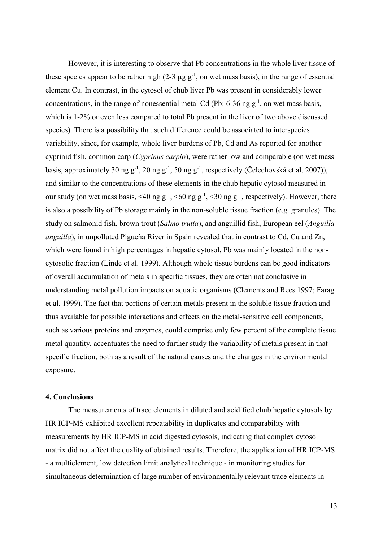However, it is interesting to observe that Pb concentrations in the whole liver tissue of these species appear to be rather high  $(2-3 \mu g g^{-1})$ , on wet mass basis), in the range of essential element Cu. In contrast, in the cytosol of chub liver Pb was present in considerably lower concentrations, in the range of nonessential metal Cd (Pb:  $6-36$  ng  $g^{-1}$ , on wet mass basis, which is 1-2% or even less compared to total Pb present in the liver of two above discussed species). There is a possibility that such difference could be associated to interspecies variability, since, for example, whole liver burdens of Pb, Cd and As reported for another cyprinid fish, common carp (*Cyprinus carpio*), were rather low and comparable (on wet mass basis, approximately 30 ng  $g^{-1}$ , 20 ng  $g^{-1}$ , 50 ng  $g^{-1}$ , respectively (Čelechovská et al. 2007)), and similar to the concentrations of these elements in the chub hepatic cytosol measured in our study (on wet mass basis, <40 ng  $g^{-1}$ , <60 ng  $g^{-1}$ , <30 ng  $g^{-1}$ , respectively). However, there is also a possibility of Pb storage mainly in the non-soluble tissue fraction (e.g. granules). The study on salmonid fish, brown trout (*Salmo trutta*), and anguillid fish, European eel (*Anguilla anguilla*), in unpolluted Pigueña River in Spain revealed that in contrast to Cd, Cu and Zn, which were found in high percentages in hepatic cytosol, Pb was mainly located in the noncytosolic fraction (Linde et al. 1999). Although whole tissue burdens can be good indicators of overall accumulation of metals in specific tissues, they are often not conclusive in understanding metal pollution impacts on aquatic organisms (Clements and Rees 1997; Farag et al. 1999). The fact that portions of certain metals present in the soluble tissue fraction and thus available for possible interactions and effects on the metal-sensitive cell components, such as various proteins and enzymes, could comprise only few percent of the complete tissue metal quantity, accentuates the need to further study the variability of metals present in that specific fraction, both as a result of the natural causes and the changes in the environmental exposure.

## **4. Conclusions**

The measurements of trace elements in diluted and acidified chub hepatic cytosols by HR ICP-MS exhibited excellent repeatability in duplicates and comparability with measurements by HR ICP-MS in acid digested cytosols, indicating that complex cytosol matrix did not affect the quality of obtained results. Therefore, the application of HR ICP-MS - a multielement, low detection limit analytical technique - in monitoring studies for simultaneous determination of large number of environmentally relevant trace elements in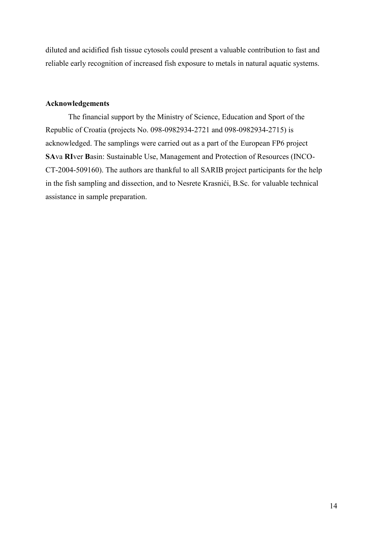diluted and acidified fish tissue cytosols could present a valuable contribution to fast and reliable early recognition of increased fish exposure to metals in natural aquatic systems.

# **Acknowledgements**

The financial support by the Ministry of Science, Education and Sport of the Republic of Croatia (projects No. 098-0982934-2721 and 098-0982934-2715) is acknowledged. The samplings were carried out as a part of the European FP6 project **SA**va **RI**ver **B**asin: Sustainable Use, Management and Protection of Resources (INCO-CT-2004-509160). The authors are thankful to all SARIB project participants for the help in the fish sampling and dissection, and to Nesrete Krasnići, B.Sc. for valuable technical assistance in sample preparation.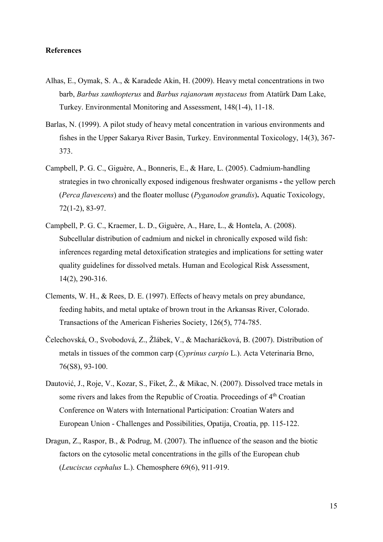## **References**

- Alhas, E., Oymak, S. A., & Karadede Akin, H. (2009). [Heavy metal concentrations in two](http://www.springerlink.com/content/j703884280203v82/)  barb, *[Barbus xanthopterus](http://www.springerlink.com/content/j703884280203v82/)* and *Barbus rajanorum mystaceus* [from Atatürk Dam Lake,](http://www.springerlink.com/content/j703884280203v82/)  [Turkey.](http://www.springerlink.com/content/j703884280203v82/) Environmental Monitoring and Assessment, 148(1-4), 11-18.
- Barlas, N. (1999). A pilot study of heavy metal concentration in various environments and fishes in the Upper Sakarya River Basin, Turkey. Environmental Toxicology, 14(3), 367- 373.
- Campbell, P. G. C., Giguère, A., Bonneris, E., & Hare, L. (2005). Cadmiu[m-handling](http://www.sciencedirect.com/science/article/pii/S0166445X0400325X)  [strategies in two chronically exposed indigenous freshwater organisms](http://www.sciencedirect.com/science/article/pii/S0166445X0400325X) **-** the yellow perch (*Perca flavescens*[\) and the floater mollusc \(](http://www.sciencedirect.com/science/article/pii/S0166445X0400325X)*Pyganodon grandis*)**.** Aquatic Toxicology, 72(1-2), 83-97.
- Campbell, P. G. C., Kraemer, L. D., Giguère, A., Hare, L., & Hontela, A. (2008). Subcellular distribution of cadmium and nickel in chronically exposed wild fish: inferences regarding metal detoxification strategies and implications for setting water quality guidelines for dissolved metals. Human and Ecological Risk Assessment, 14(2), 290-316.
- Clements, W. H., & Rees, D. E. (1997). Effects of heavy metals on prey abundance, feeding habits, and metal uptake of brown trout in the Arkansas River, Colorado. Transactions of the American Fisheries Society, 126(5), 774-785.
- Čelechovská, O., Svobodová, Z., Žlábek, V., & Macharáčková, B. (2007). Distribution of metals in tissues of the common carp (*Cyprinus carpio* L.). Acta Veterinaria Brno, 76(S8), 93-100.
- Dautović, J., Roje, V., Kozar, S., Fiket, Ž., & Mikac, N. (2007). Dissolved trace metals in some rivers and lakes from the Republic of Croatia. Proceedings of 4<sup>th</sup> Croatian Conference on Waters with International Participation: Croatian Waters and European Union - Challenges and Possibilities, Opatija, Croatia, pp. 115-122.
- Dragun, Z., Raspor, B., & Podrug, M. (2007). The influence of the season and the biotic factors on the cytosolic metal concentrations in the gills of the European chub (*Leuciscus cephalus* L.). Chemosphere 69(6), 911-919.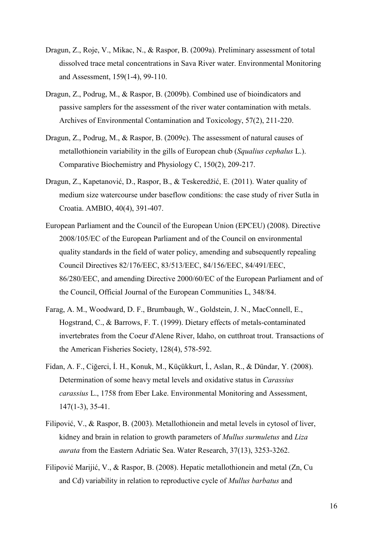- Dragun, Z., Roje, V., Mikac, N., & Raspor, B. (2009a). Preliminary assessment of total dissolved trace metal concentrations in Sava River water. Environmental Monitoring and Assessment, 159(1-4), 99-110.
- Dragun, Z., Podrug, M., & Raspor, B. (2009b). Combined use of bioindicators and passive samplers for the assessment of the river water contamination with metals. Archives of Environmental Contamination and Toxicology, 57(2), 211-220.
- Dragun, Z., Podrug, M., & Raspor, B. (2009c). The assessment of natural causes of metallothionein variability in the gills of European chub (*Squalius cephalus* L.). Comparative Biochemistry and Physiology C, 150(2), 209-217.
- Dragun, Z., Kapetanović, D., Raspor, B., & Teskeredžić, E. (2011). Water quality of medium size watercourse under baseflow conditions: the case study of river Sutla in Croatia. AMBIO, 40(4), 391-407.
- European Parliament and the Council of the European Union (EPCEU) (2008). Directive 2008/105/EC of the European Parliament and of the Council on environmental quality standards in the field of water policy, amending and subsequently repealing Council Directives 82/176/EEC, 83/513/EEC, 84/156/EEC, 84/491/EEC, 86/280/EEC, and amending Directive 2000/60/EC of the European Parliament and of the Council, Official Journal of the European Communities L, 348/84.
- Farag, A. M., Woodward, D. F., Brumbaugh, W., Goldstein, J. N., MacConnell, E., Hogstrand, C., & Barrows, F. T. (1999). Dietary effects of metals-contaminated invertebrates from the Coeur d'Alene River, Idaho, on cutthroat trout. Transactions of the American Fisheries Society, 128(4), 578-592.
- Fidan, A. F., Ciğerci, İ. H., Konuk, M., Küçükkurt, İ., Aslan, R., & Dündar, Y. (2008). Determination of some heavy metal levels and oxidative status in *Carassius carassius* L., 1758 from Eber Lake. Environmental Monitoring and Assessment, 147(1-3), 35-41.
- Filipović, V., & Raspor, B. (2003). Metallothionein and metal levels in cytosol of liver, kidney and brain in relation to growth parameters of *Mullus surmuletus* and *Liza aurata* from the Eastern Adriatic Sea. Water Research, 37(13), 3253-3262.
- Filipović Marijić, V., & Raspor, B. (2008). Hepatic metallothionein and metal (Zn, Cu and Cd) variability in relation to reproductive cycle of *Mullus barbatus* and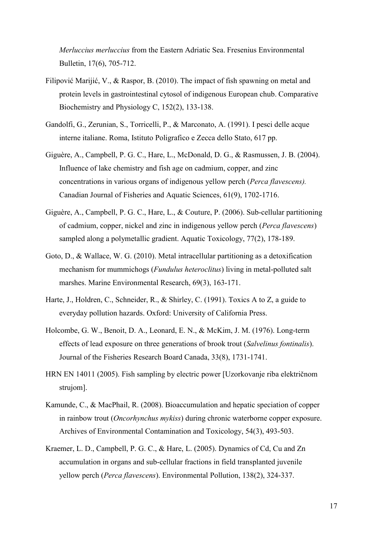*Merluccius merluccius* from the Eastern Adriatic Sea. Fresenius Environmental Bulletin, 17(6), 705-712.

- Filipović Marijić, V., & Raspor, B. (2010). The impact of fish spawning on metal and protein levels in gastrointestinal cytosol of indigenous European chub. Comparative Biochemistry and Physiology C, 152(2), 133-138.
- Gandolfi, G., Zerunian, S., Torricelli, P., & Marconato, A. (1991). I pesci delle acque interne italiane. Roma, Istituto Poligrafico e Zecca dello Stato, 617 pp.
- Giguère, A., Campbell, P. G. C., Hare, L., McDonald, D. G., & Rasmussen, J. B. (2004). Influence of lake chemistry and fish age on cadmium, copper, and zinc concentrations in various organs of indigenous yellow perch (*Perca flavescens).*  Canadian Journal of Fisheries and Aquatic Sciences, 61(9), 1702-1716.
- Giguère, A., Campbell, P. G. C., Hare, L., & Couture, P. (2006). Sub-cellular partitioning of cadmium, copper, nickel and zinc in indigenous yellow perch (*Perca flavescens*) sampled along a polymetallic gradient. Aquatic Toxicology, 77(2), 178-189.
- Goto, D., & Wallace, W. G. (2010). Metal intracellular partitioning as a detoxification mechanism for mummichogs (*Fundulus heteroclitus*) living in metal-polluted salt marshes. Marine Environmental Research, 69(3), 163-171.
- Harte, J., Holdren, C., Schneider, R., & Shirley, C. (1991). Toxics A to Z, a guide to everyday pollution hazards. Oxford: University of California Press.
- Holcombe, G. W., Benoit, D. A., Leonard, E. N., & McKim, J. M. (1976). Long-term effects of lead exposure on three generations of brook trout (*Salvelinus fontinalis*). Journal of the Fisheries Research Board Canada, 33(8), 1731-1741.
- HRN EN 14011 (2005). Fish sampling by electric power [Uzorkovanje riba električnom strujom].
- Kamunde, C., & MacPhail, R. (2008). Bioaccumulation and hepatic speciation of copper in rainbow trout (*Oncorhynchus mykiss*) during chronic waterborne copper exposure. Archives of Environmental Contamination and Toxicology, 54(3), 493-503.
- Kraemer, L. D., Campbell, P. G. C., & Hare, L. (2005). Dynamics of Cd, Cu and Zn accumulation in organs and sub-cellular fractions in field transplanted juvenile yellow perch (*Perca flavescens*). Environmental Pollution, 138(2), 324-337.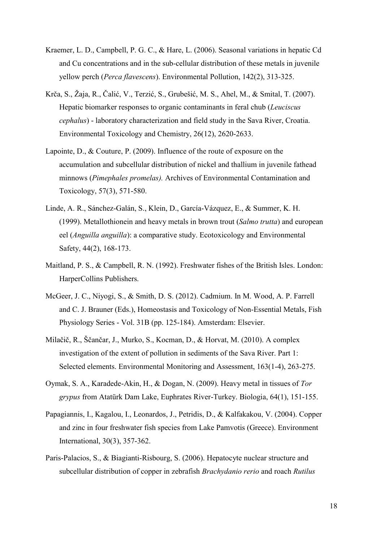- Kraemer, L. D., Campbell, P. G. C., & Hare, L. (2006). Seasonal variations in hepatic Cd and Cu concentrations and in the sub-cellular distribution of these metals in juvenile yellow perch (*Perca flavescens*). Environmental Pollution, 142(2), 313-325.
- Krča, S., Žaja, R., Čalić, V., Terzić, S., Grubešić, M. S., Ahel, M., & Smital, T. (2007). Hepatic biomarker responses to organic contaminants in feral chub (*Leuciscus cephalus*) - laboratory characterization and field study in the Sava River, Croatia. Environmental Toxicology and Chemistry, 26(12), 2620-2633.
- Lapointe, D., & Couture, P. (2009). Influence of the route of exposure on the accumulation and subcellular distribution of nickel and thallium in juvenile fathead minnows (*Pimephales promelas).* Archives of Environmental Contamination and Toxicology, 57(3), 571-580.
- Linde, A. R., Sánchez-Galán, S., Klein, D., García-Vázquez, E., & Summer, K. H. (1999). Metallothionein and heavy metals in brown trout (*Salmo trutta*) and european eel (*Anguilla anguilla*): a comparative study. Ecotoxicology and Environmental Safety, 44(2), 168-173.
- Maitland, P. S., & Campbell, R. N. (1992). Freshwater fishes of the British Isles. London: HarperCollins Publishers.
- McGeer, J. C., Niyogi, S., & Smith, D. S. (2012). Cadmium. In M. Wood, A. P. Farrell and C. J. Brauner (Eds.), Homeostasis and Toxicology of Non-Essential Metals, Fish Physiology Series - Vol. 31B (pp. 125-184). Amsterdam: Elsevier.
- Milačič, R., Ščančar, J., Murko, S., Kocman, D., & Horvat, M. (2010). A complex investigation of the extent of pollution in sediments of the Sava River. Part 1: Selected elements. Environmental Monitoring and Assessment, 163(1-4), 263-275.
- Oymak, S. A., Karadede-Akin, H., & Dogan, N. (2009). Heavy metal in tissues of *Tor grypus* from Atatürk Dam Lake, Euphrates River-Turkey. Biologia, 64(1), 151-155.
- Papagiannis, I., Kagalou, I., Leonardos, J., Petridis, D., & Kalfakakou, V. (2004). Copper and zinc in four freshwater fish species from Lake Pamvotis (Greece). Environment International, 30(3), 357-362.
- Paris-Palacios, S., & Biagianti-Risbourg, S. (2006). Hepatocyte nuclear structure and subcellular distribution of copper in zebrafish *Brachydanio rerio* and roach *Rutilus*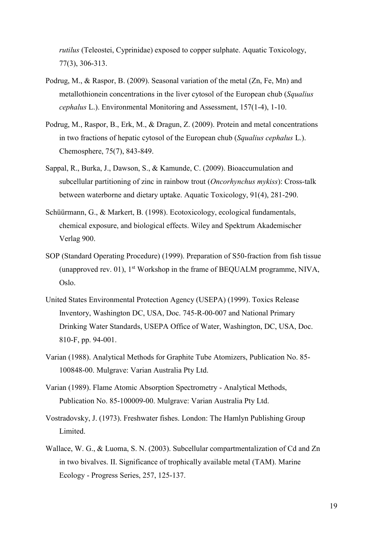*rutilus* (Teleostei, Cyprinidae) exposed to copper sulphate. Aquatic Toxicology, 77(3), 306-313.

- Podrug, M., & Raspor, B. (2009). Seasonal variation of the metal (Zn, Fe, Mn) and metallothionein concentrations in the liver cytosol of the European chub (*Squalius cephalus* L.). Environmental Monitoring and Assessment, 157(1-4), 1-10.
- Podrug, M., Raspor, B., Erk, M., & Dragun, Z. (2009). Protein and metal concentrations in two fractions of hepatic cytosol of the European chub (*Squalius cephalus* L.). Chemosphere, 75(7), 843-849.
- Sappal, R., Burka, J., Dawson, S., & Kamunde, C. (2009). Bioaccumulation and subcellular partitioning of zinc in rainbow trout (*Oncorhynchus mykiss*): Cross-talk between waterborne and dietary uptake. Aquatic Toxicology, 91(4), 281-290.
- Schüürmann, G., & Markert, B. (1998). Ecotoxicology, ecological fundamentals, chemical exposure, and biological effects. Wiley and Spektrum Akademischer Verlag 900.
- SOP (Standard Operating Procedure) (1999). Preparation of S50-fraction from fish tissue (unapproved rev. 01),  $1<sup>st</sup>$  Workshop in the frame of BEQUALM programme, NIVA, Oslo.
- United States Environmental Protection Agency (USEPA) (1999). Toxics Release Inventory, Washington DC, USA, Doc. 745-R-00-007 and National Primary Drinking Water Standards, USEPA Office of Water, Washington, DC, USA, Doc. 810-F, pp. 94-001.
- Varian (1988). Analytical Methods for Graphite Tube Atomizers, Publication No. 85- 100848-00. Mulgrave: Varian Australia Pty Ltd.
- Varian (1989). Flame Atomic Absorption Spectrometry Analytical Methods, Publication No. 85-100009-00. Mulgrave: Varian Australia Pty Ltd.
- Vostradovsky, J. (1973). Freshwater fishes. London: The Hamlyn Publishing Group Limited.
- Wallace, W. G., & Luoma, S. N. (2003). Subcellular compartmentalization of Cd and Zn in two bivalves. II. Significance of trophically available metal (TAM). Marine Ecology - Progress Series, 257, 125-137.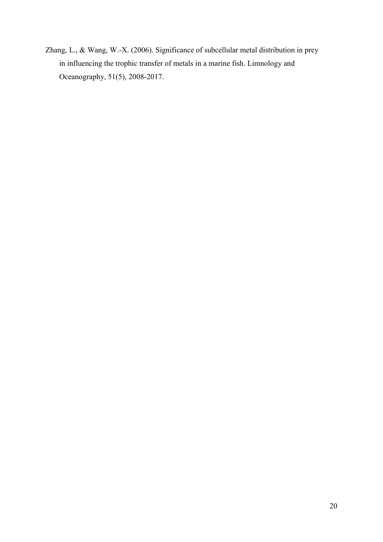Zhang, L., & Wang, W.-X. (2006). Significance of subcellular metal distribution in prey in influencing the trophic transfer of metals in a marine fish. Limnology and Oceanography, 51(5), 2008-2017.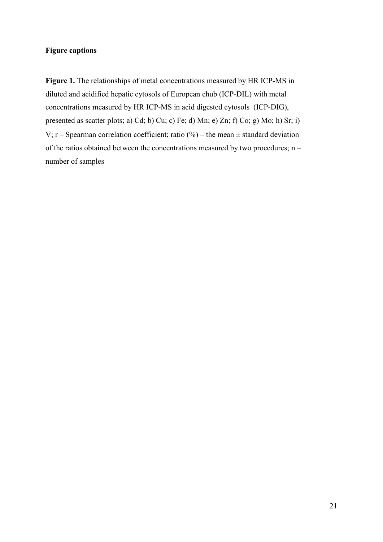# **Figure captions**

**Figure 1.** The relationships of metal concentrations measured by HR ICP-MS in diluted and acidified hepatic cytosols of European chub (ICP-DIL) with metal concentrations measured by HR ICP-MS in acid digested cytosols (ICP-DIG), presented as scatter plots; a) Cd; b) Cu; c) Fe; d) Mn; e) Zn; f) Co; g) Mo; h) Sr; i) V; r – Spearman correlation coefficient; ratio  $(\%)$  – the mean  $\pm$  standard deviation of the ratios obtained between the concentrations measured by two procedures; n – number of samples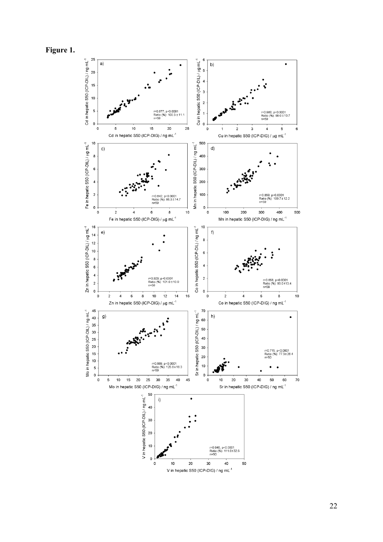

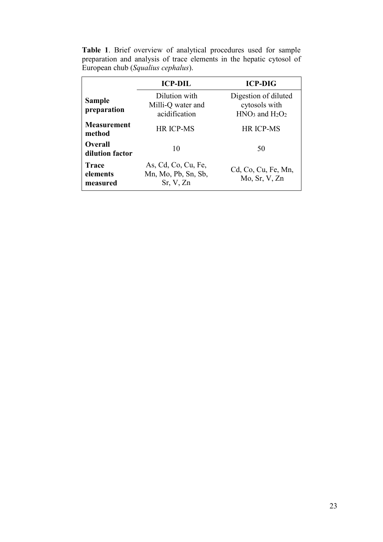|  | <b>Table 1.</b> Brief overview of analytical procedures used for sample |  |  |  |  |  |
|--|-------------------------------------------------------------------------|--|--|--|--|--|
|  | preparation and analysis of trace elements in the hepatic cytosol of    |  |  |  |  |  |
|  | European chub (Squalius cephalus).                                      |  |  |  |  |  |

|                                      | <b>ICP-DIL</b>                                          | <b>ICP-DIG</b>                                             |
|--------------------------------------|---------------------------------------------------------|------------------------------------------------------------|
| <b>Sample</b><br>preparation         | Dilution with<br>Milli-Q water and<br>acidification     | Digestion of diluted<br>cytosols with<br>$HNO3$ and $H2O2$ |
| <b>Measurement</b><br>method         | <b>HR ICP-MS</b>                                        | <b>HR ICP-MS</b>                                           |
| <b>Overall</b><br>dilution factor    | 10                                                      | 50                                                         |
| <b>Trace</b><br>elements<br>measured | As, Cd, Co, Cu, Fe,<br>Mn, Mo, Pb, Sn, Sb,<br>Sr, V, Zn | Cd, Co, Cu, Fe, Mn,<br>Mo, Sr, V, Zn                       |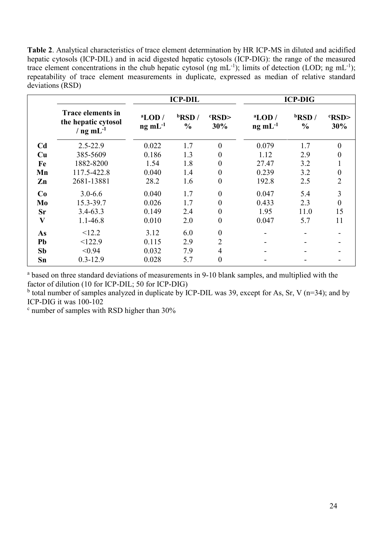**Table 2**. Analytical characteristics of trace element determination by HR ICP-MS in diluted and acidified hepatic cytosols (ICP-DIL) and in acid digested hepatic cytosols (ICP-DIG): the range of the measured trace element concentrations in the chub hepatic cytosol (ng  $mL^{-1}$ ); limits of detection (LOD; ng  $mL^{-1}$ ); repeatability of trace element measurements in duplicate, expressed as median of relative standard deviations (RSD)

|                         |                                                                   |                              | <b>ICP-DIL</b>             |                  | <b>ICP-DIG</b>                                        |                            |                       |  |
|-------------------------|-------------------------------------------------------------------|------------------------------|----------------------------|------------------|-------------------------------------------------------|----------------------------|-----------------------|--|
|                         | <b>Trace elements in</b><br>the hepatic cytosol<br>/ $ng mL^{-1}$ | $a$ LOD /<br>$ng \, mL^{-1}$ | $b$ RSD /<br>$\frac{0}{0}$ | RSD<br>30%       | $a$ LOD /<br>$\mathbf{ng} \mathbf{m}$ L <sup>-1</sup> | $b$ RSD /<br>$\frac{0}{0}$ | <b>RSD&gt;</b><br>30% |  |
| C <sub>d</sub>          | $2.5 - 22.9$                                                      | 0.022                        | 1.7                        | $\theta$         | 0.079                                                 | 1.7                        | $\theta$              |  |
| Cu                      | 385-5609                                                          | 0.186                        | 1.3                        | $\theta$         | 1.12                                                  | 2.9                        | $_{0}$                |  |
| Fe                      | 1882-8200                                                         | 1.54                         | 1.8                        | $\overline{0}$   | 27.47                                                 | 3.2                        |                       |  |
| Mn                      | 117.5-422.8                                                       | 0.040                        | 1.4                        | $\boldsymbol{0}$ | 0.239                                                 | 3.2                        | $\theta$              |  |
| Zn                      | 2681-13881                                                        | 28.2                         | 1.6                        | $\overline{0}$   | 192.8                                                 | 2.5                        | $\overline{2}$        |  |
| Co                      | $3.0 - 6.6$                                                       | 0.040                        | 1.7                        | $\theta$         | 0.047                                                 | 5.4                        | 3                     |  |
| Mo                      | 15.3-39.7                                                         | 0.026                        | 1.7                        | $\overline{0}$   | 0.433                                                 | 2.3                        | $\overline{0}$        |  |
| Sr                      | $3.4 - 63.3$                                                      | 0.149                        | 2.4                        | $\overline{0}$   | 1.95                                                  | 11.0                       | 15                    |  |
| $\overline{\mathbf{V}}$ | 1.1-46.8                                                          | 0.010                        | 2.0                        | $\overline{0}$   | 0.047                                                 | 5.7                        | 11                    |  |
| As                      | <12.2                                                             | 3.12                         | 6.0                        | $\overline{0}$   |                                                       |                            |                       |  |
| Pb                      | <122.9                                                            | 0.115                        | 2.9                        | 2                |                                                       |                            |                       |  |
| Sb                      | < 0.94                                                            | 0.032                        | 7.9                        | 4                |                                                       |                            |                       |  |
| Sn                      | $0.3 - 12.9$                                                      | 0.028                        | 5.7                        | $\overline{0}$   |                                                       |                            |                       |  |

<sup>a</sup> based on three standard deviations of measurements in 9-10 blank samples, and multiplied with the factor of dilution (10 for ICP-DIL; 50 for ICP-DIG)

<sup>b</sup> total number of samples analyzed in duplicate by ICP-DIL was 39, except for As, Sr, V (n=34); and by ICP-DIG it was 100-102

<sup>c</sup> number of samples with RSD higher than 30%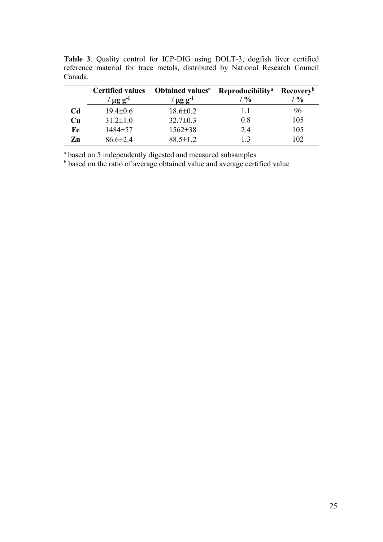**Table 3**. Quality control for ICP-DIG using DOLT-3, dogfish liver certified reference material for trace metals, distributed by National Research Council Canada.

|               | <b>Certified values</b><br>$\mu$ g g <sup>-1</sup> | <b>Obtained values</b> <sup>a</sup><br>$\mu$ g g <sup>-1</sup> | Reproducibility <sup>a</sup><br>$\frac{6}{6}$ | <b>Recovery</b> <sup>b</sup><br>$\frac{0}{0}$ |
|---------------|----------------------------------------------------|----------------------------------------------------------------|-----------------------------------------------|-----------------------------------------------|
| Cd            | $19.4 \pm 0.6$                                     | $18.6 \pm 0.2$                                                 | 11                                            | 96                                            |
| Cu            | $31.2 \pm 1.0$                                     | $32.7 \pm 0.3$                                                 | 08                                            | 105                                           |
| Fe            | $1484 + 57$                                        | $1562 \pm 38$                                                  | 2.4                                           | 105                                           |
| $\mathbf{Zn}$ | $86.6\pm 2.4$                                      | $88.5 \pm 1.2$                                                 |                                               | 102                                           |

<sup>a</sup> based on 5 independently digested and measured subsamples

<sup>b</sup> based on the ratio of average obtained value and average certified value